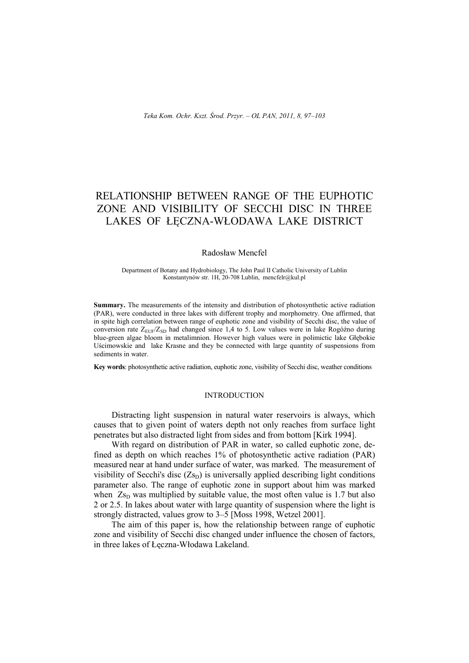# RELATIONSHIP BETWEEN RANGE OF THE EUPHOTIC ZONE AND VISIBILITY OF SECCHI DISC IN THREE LAKES OF ŁECZNA-WŁODAWA LAKE DISTRICT

#### Radosław Mencfel

Department of Botany and Hydrobiology, The John Paul II Catholic University of Lublin Konstantynów str. 1H, 20-708 Lublin, mencfelr@kul.pl

**Summary.** The measurements of the intensity and distribution of photosynthetic active radiation (PAR), were conducted in three lakes with different trophy and morphometry. One affirmed, that in spite high correlation between range of euphotic zone and visibility of Secchi disc, the value of conversion rate  $Z_{\text{EUP}}/Z_{\text{SD}}$  had changed since 1,4 to 5. Low values were in lake Rogóźno during blue-green algae bloom in metalimnion. However high values were in polimictic lake Głębokie Uścimowskie and lake Krasne and they be connected with large quantity of suspensions from sediments in water.

**Key words**: photosynthetic active radiation, euphotic zone, visibility of Secchi disc, weather conditions

#### INTRODUCTION

Distracting light suspension in natural water reservoirs is always, which causes that to given point of waters depth not only reaches from surface light penetrates but also distracted light from sides and from bottom [Kirk 1994].

With regard on distribution of PAR in water, so called euphotic zone, defined as depth on which reaches 1% of photosynthetic active radiation (PAR) measured near at hand under surface of water, was marked. The measurement of visibility of Secchi's disc  $(Z_{\text{SD}})$  is universally applied describing light conditions parameter also. The range of euphotic zone in support about him was marked when  $Z_{\rm SD}$  was multiplied by suitable value, the most often value is 1.7 but also 2 or 2.5. In lakes about water with large quantity of suspension where the light is strongly distracted, values grow to 3–5 [Moss 1998, Wetzel 2001].

The aim of this paper is, how the relationship between range of euphotic zone and visibility of Secchi disc changed under influence the chosen of factors, in three lakes of Łęczna-Włodawa Lakeland.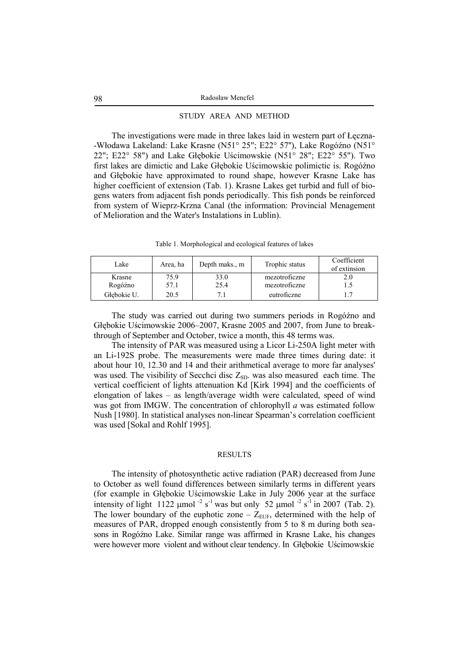# STUDY AREA AND METHOD

The investigations were made in three lakes laid in western part of Łęczna- -Włodawa Lakeland: Lake Krasne (N51° 25"; E22° 57''), Lake Rogóźno (N51° 22"; E22° 58") and Lake Głębokie Uścimowskie (N51° 28"; E22° 55"). Two first lakes are dimictic and Lake Głębokie Uścimowskie polimictic is. Rogóźno and Głębokie have approximated to round shape, however Krasne Lake has higher coefficient of extension (Tab. 1). Krasne Lakes get turbid and full of biogens waters from adjacent fish ponds periodically. This fish ponds be reinforced from system of Wieprz-Krzna Canal (the information: Provincial Menagement of Melioration and the Water's Instalations in Lublin).

|  |  | Table 1. Morphological and ecological features of lakes |  |
|--|--|---------------------------------------------------------|--|
|  |  |                                                         |  |

| Lake        | Area, ha | Depth maks., m | Trophic status | Coefficient<br>of extinsion |
|-------------|----------|----------------|----------------|-----------------------------|
| Krasne      | 75.9     | 33.0           | mezotroficzne  |                             |
| Rogóźno     | 57.1     | 25.4           | mezotroficzne  |                             |
| Głebokie U. | 20.5     |                | eutroficzne    |                             |

The study was carried out during two summers periods in Rogóźno and Głębokie Uścimowskie 2006–2007, Krasne 2005 and 2007, from June to breakthrough of September and October, twice a month, this 48 terms was.

The intensity of PAR was measured using a Licor Li-250A light meter with an Li-192S probe. The measurements were made three times during date: it about hour 10, 12.30 and 14 and their arithmetical average to more far analyses' was used. The visibility of Secchci disc  $Z_{SD}$ , was also measured each time. The vertical coefficient of lights attenuation Kd [Kirk 1994] and the coefficients of elongation of lakes – as length/average width were calculated, speed of wind was got from IMGW. The concentration of chlorophyll *a* was estimated follow Nush [1980]. In statistical analyses non-linear Spearman's correlation coefficient was used [Sokal and Rohlf 1995].

#### **RESULTS**

The intensity of photosynthetic active radiation (PAR) decreased from June to October as well found differences between similarly terms in different years (for example in Głębokie Uścimowskie Lake in July 2006 year at the surface intensity of light 1122 µmol<sup>-2</sup> s<sup>-1</sup> was but only 52 µmol<sup>-2</sup> s<sup>-1</sup> in 2007 (Tab. 2). The lower boundary of the euphotic zone –  $Z_{EUF}$ , determined with the help of measures of PAR, dropped enough consistently from 5 to 8 m during both seasons in Rogóźno Lake. Similar range was affirmed in Krasne Lake, his changes were however more violent and without clear tendency. In Głębokie Uścimowskie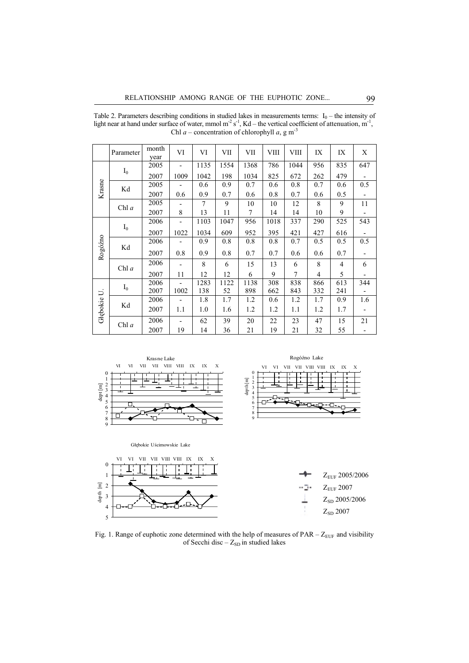| Chl a – concentration of chlorophyll a, g m <sup>-3</sup> |           |               |                          |                |      |      |      |                |                |                |                          |
|-----------------------------------------------------------|-----------|---------------|--------------------------|----------------|------|------|------|----------------|----------------|----------------|--------------------------|
|                                                           | Parameter | month<br>year | VI                       | VI             | VII  | VII  | VIII | VIII           | IX             | IX             | X                        |
| Krasne                                                    | $I_0$     | 2005          | $\overline{a}$           | 1135           | 1554 | 1368 | 786  | 1044           | 956            | 835            | 647                      |
|                                                           |           | 2007          | 1009                     | 1042           | 198  | 1034 | 825  | 672            | 262            | 479            |                          |
|                                                           | Kd        | 2005          |                          | 0.6            | 0.9  | 0.7  | 0.6  | 0.8            | 0.7            | 0.6            | 0.5                      |
|                                                           |           | 2007          | 0.6                      | 0.9            | 0.7  | 0.6  | 0.8  | 0.7            | 0.6            | 0.5            |                          |
|                                                           | Chl $a$   | 2005          |                          | $\overline{7}$ | 9    | 10   | 10   | 12             | 8              | 9              | 11                       |
|                                                           |           | 2007          | 8                        | 13             | 11   | 7    | 14   | 14             | 10             | 9              |                          |
| Rogóźno                                                   | $I_0$     | 2006          | $\overline{\phantom{m}}$ | 1103           | 1047 | 956  | 1018 | 337            | 290            | 525            | 543                      |
|                                                           |           | 2007          | 1022                     | 1034           | 609  | 952  | 395  | 421            | 427            | 616            | $\overline{\phantom{a}}$ |
|                                                           | Kd        | 2006          | $\overline{\phantom{m}}$ | 0.9            | 0.8  | 0.8  | 0.8  | 0.7            | 0.5            | 0.5            | 0.5                      |
|                                                           |           | 2007          | 0.8                      | 0.9            | 0.8  | 0.7  | 0.7  | 0.6            | 0.6            | 0.7            |                          |
|                                                           | Chl a     | 2006          |                          | 8              | 6    | 15   | 13   | 6              | 8              | $\overline{4}$ | 6                        |
|                                                           |           | 2007          | 11                       | 12             | 12   | 6    | 9    | $\overline{7}$ | $\overline{4}$ | 5              |                          |
| Głębokie U.                                               | $I_0$     | 2006          | $\overline{a}$           | 1283           | 1122 | 1138 | 308  | 838            | 866            | 613            | 344                      |
|                                                           |           | 2007          | 1002                     | 138            | 52   | 898  | 662  | 843            | 332            | 241            |                          |
|                                                           | Kd        | 2006          | $\overline{a}$           | 1.8            | 1.7  | 1.2  | 0.6  | 1.2            | 1.7            | 0.9            | 1.6                      |
|                                                           |           | 2007          | 1.1                      | 1.0            | 1.6  | 1.2  | 1.2  | 1.1            | 1.2            | 1.7            |                          |
|                                                           | Chl $a$   | 2006          |                          | 62             | 39   | 20   | 22   | 23             | 47             | 15             | 21                       |
|                                                           |           | 2007          | 19                       | 14             | 36   | 21   | 19   | 21             | 32             | 55             |                          |

Table 2. Parameters describing conditions in studied lakes in measurements terms:  $I_0$  – the intensity of light near at hand under surface of water, mmol  $m^2 s^1$ , Kd – the vertical coefficient of attenuation,  $m^1$ ,



Fig. 1. Range of euphotic zone determined with the help of measures of  $PAR - Z_{EUF}$  and visibility of Secchi disc –  $Z_{SD}$  in studied lakes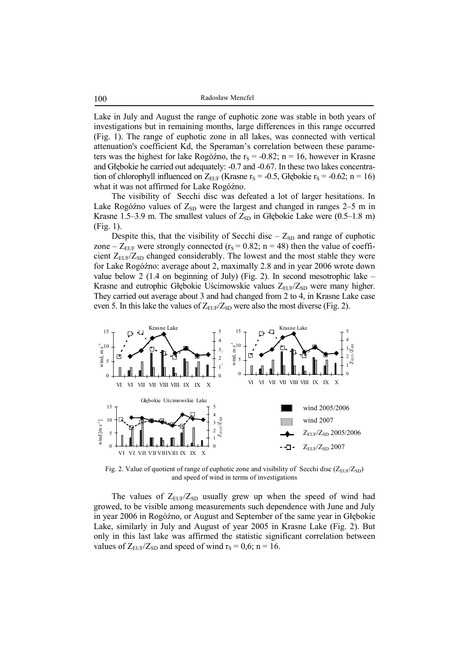100 Radosław Mencfel

Lake in July and August the range of euphotic zone was stable in both years of investigations but in remaining months, large differences in this range occurred (Fig. 1). The range of euphotic zone in all lakes, was connected with vertical attenuation's coefficient Kd, the Speraman's correlation between these parameters was the highest for lake Rogóźno, the  $r_s = -0.82$ ; n = 16, however in Krasne and Głębokie he carried out adequately: -0.7 and -0.67. In these two lakes concentration of chlorophyll influenced on  $Z_{EUF}$  (Krasne  $r_S = -0.5$ , Głębokie  $r_S = -0.62$ ; n = 16) what it was not affirmed for Lake Rogóźno.

The visibility of Secchi disc was defeated a lot of larger hesitations. In Lake Rogóźno values of  $Z_{SD}$  were the largest and changed in ranges 2–5 m in Krasne 1.5–3.9 m. The smallest values of  $Z_{SD}$  in Głębokie Lake were (0.5–1.8 m) (Fig. 1).

Despite this, that the visibility of Secchi disc  $-Z_{SD}$  and range of euphotic zone –  $Z_{EUF}$  were strongly connected ( $r_S = 0.82$ ; n = 48) then the value of coefficient  $Z_{EUF}/Z_{SD}$  changed considerably. The lowest and the most stable they were for Lake Rogóźno: average about 2, maximally 2.8 and in year 2006 wrote down value below 2 (1.4 on beginning of July) (Fig. 2). In second mesotrophic lake – Krasne and eutrophic Głębokie Uścimowskie values  $Z_{EUP}/Z_{SD}$  were many higher. They carried out average about 3 and had changed from 2 to 4, in Krasne Lake case even 5. In this lake the values of  $Z_{\text{EUF}}/Z_{\text{SD}}$  were also the most diverse (Fig. 2).



Fig. 2. Value of quotient of range of euphotic zone and visibility of Secchi disc ( $Z_{EUF}/Z_{SD}$ ) and speed of wind in terms of investigations

The values of  $Z_{\text{EUF}}/Z_{\text{SD}}$  usually grew up when the speed of wind had growed, to be visible among measurements such dependence with June and July in year 2006 in Rogóźno, or August and September of the same year in Głębokie Lake, similarly in July and August of year 2005 in Krasne Lake (Fig. 2). But only in this last lake was affirmed the statistic significant correlation between values of  $Z_{\text{EUF}}/Z_{\text{SD}}$  and speed of wind  $r_s = 0.6$ ; n = 16.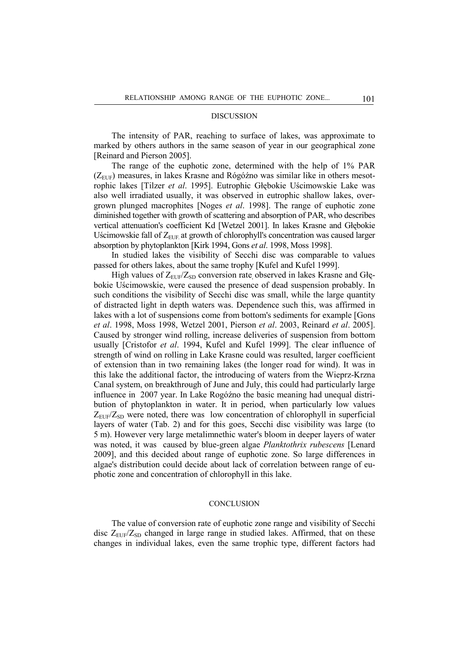## DISCUSSION

The intensity of PAR, reaching to surface of lakes, was approximate to marked by others authors in the same season of year in our geographical zone [Reinard and Pierson 2005].

The range of the euphotic zone, determined with the help of 1% PAR  $(Z<sub>EUF</sub>)$  measures, in lakes Krasne and Rógóźno was similar like in others mesotrophic lakes [Tilzer *et al*. 1995]. Eutrophic Głębokie Uścimowskie Lake was also well irradiated usually, it was observed in eutrophic shallow lakes, overgrown plunged macrophites [Noges *et al*. 1998]. The range of euphotic zone diminished together with growth of scattering and absorption of PAR, who describes vertical attenuation's coefficient Kd [Wetzel 2001]. In lakes Krasne and Głębokie Uścimowskie fall of  $Z_{EUF}$  at growth of chlorophyll's concentration was caused larger absorption by phytoplankton [Kirk 1994, Gons *et al*. 1998, Moss 1998].

In studied lakes the visibility of Secchi disc was comparable to values passed for others lakes, about the same trophy [Kufel and Kufel 1999].

High values of  $Z_{EUF}/Z_{SD}$  conversion rate, observed in lakes Krasne and Głębokie Uścimowskie, were caused the presence of dead suspension probably. In such conditions the visibility of Secchi disc was small, while the large quantity of distracted light in depth waters was. Dependence such this, was affirmed in lakes with a lot of suspensions come from bottom's sediments for example [Gons *et al*. 1998, Moss 1998, Wetzel 2001, Pierson *et al*. 2003, Reinard *et al*. 2005]. Caused by stronger wind rolling, increase deliveries of suspension from bottom usually [Cristofor *et al*. 1994, Kufel and Kufel 1999]. The clear influence of strength of wind on rolling in Lake Krasne could was resulted, larger coefficient of extension than in two remaining lakes (the longer road for wind). It was in this lake the additional factor, the introducing of waters from the Wieprz-Krzna Canal system, on breakthrough of June and July, this could had particularly large influence in 2007 year. In Lake Rogóźno the basic meaning had unequal distribution of phytoplankton in water. It in period, when particularly low values  $Z_{\text{EUF}}/Z_{\text{SD}}$  were noted, there was low concentration of chlorophyll in superficial layers of water (Tab. 2) and for this goes, Secchi disc visibility was large (to 5 m). However very large metalimnethic water's bloom in deeper layers of water was noted, it was caused by blue-green algae *Planktothrix rubescens* [Lenard 2009], and this decided about range of euphotic zone. So large differences in algae's distribution could decide about lack of correlation between range of euphotic zone and concentration of chlorophyll in this lake.

# **CONCLUSION**

The value of conversion rate of euphotic zone range and visibility of Secchi disc  $Z_{\text{EUF}}/Z_{\text{SD}}$  changed in large range in studied lakes. Affirmed, that on these changes in individual lakes, even the same trophic type, different factors had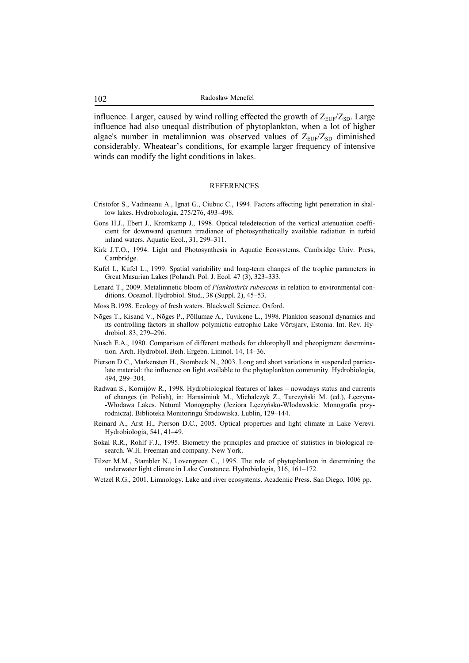influence. Larger, caused by wind rolling effected the growth of  $Z_{EIF}/Z_{SD}$ . Large influence had also unequal distribution of phytoplankton, when a lot of higher algae's number in metalimnion was observed values of  $Z_{EUP}/Z_{SD}$  diminished considerably. Wheatear's conditions, for example larger frequency of intensive winds can modify the light conditions in lakes.

#### REFERENCES

- Cristofor S., Vadineanu A., Ignat G., Ciubuc C., 1994. Factors affecting light penetration in shallow lakes. Hydrobiologia, 275/276, 493–498.
- Gons H.J., Ebert J., Kromkamp J., 1998. Optical teledetection of the vertical attenuation coefficient for downward quantum irradiance of photosynthetically available radiation in turbid inland waters. Aquatic Ecol., 31, 299–311.
- Kirk J.T.O., 1994. Light and Photosynthesis in Aquatic Ecosystems. Cambridge Univ. Press, Cambridge.
- Kufel I., Kufel L., 1999. Spatial variability and long-term changes of the trophic parameters in Great Masurian Lakes (Poland). Pol. J. Ecol. 47 (3), 323–333.
- Lenard T., 2009. Metalimnetic bloom of *Planktothrix rubescens* in relation to environmental conditions. Oceanol. Hydrobiol. Stud., 38 (Suppl. 2), 45–53.
- Moss B.1998. Ecology of fresh waters. Blackwell Science. Oxford.
- Nõges T., Kisand V., Nõges P., Põllumae A., Tuvikene L., 1998. Plankton seasonal dynamics and its controlling factors in shallow polymictic eutrophic Lake Võrtsjarv, Estonia. Int. Rev. Hydrobiol. 83, 279–296.
- Nusch E.A., 1980. Comparison of different methods for chlorophyll and pheopigment determination. Arch. Hydrobiol. Beih. Ergebn. Limnol. 14, 14–36.
- Pierson D.C., Markensten H., Stombeck N., 2003. Long and short variations in suspended particulate material: the influence on light available to the phytoplankton community. Hydrobiologia, 494, 299–304.
- Radwan S., Kornijów R., 1998. Hydrobiological features of lakes nowadays status and currents of changes (in Polish), in: Harasimiuk M., Michalczyk Z., Turczyński M. (ed.), Łęczyna- -Włodawa Lakes. Natural Monography (Jeziora Łęczyńsko-Włodawskie. Monografia przyrodnicza). Biblioteka Monitoringu Środowiska. Lublin, 129–144.
- Reinard A., Arst H., Pierson D.C., 2005. Optical properties and light climate in Lake Verevi. Hydrobiologia, 541, 41–49.
- Sokal R.R., Rohlf F.J., 1995. Biometry the principles and practice of statistics in biological research. W.H. Freeman and company. New York.
- Tilzer M.M., Stambler N., Lovengreen C., 1995. The role of phytoplankton in determining the underwater light climate in Lake Constance. Hydrobiologia, 316, 161–172.
- Wetzel R.G., 2001. Limnology. Lake and river ecosystems. Academic Press. San Diego, 1006 pp.